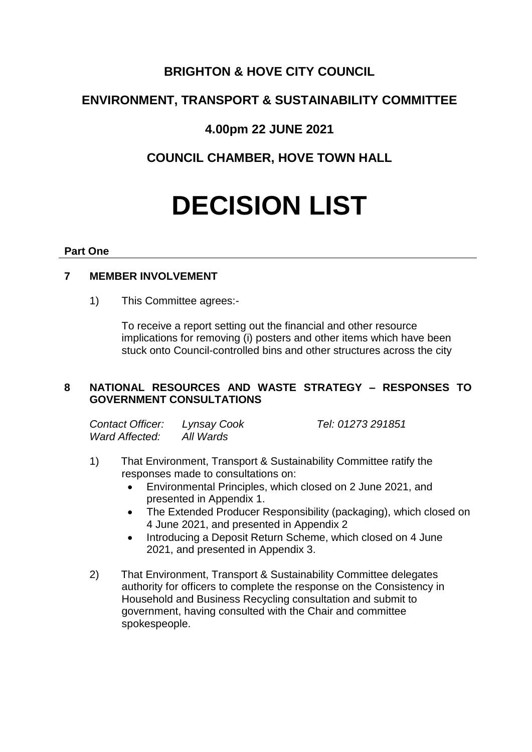## **BRIGHTON & HOVE CITY COUNCIL**

# **ENVIRONMENT, TRANSPORT & SUSTAINABILITY COMMITTEE**

## **4.00pm 22 JUNE 2021**

# **COUNCIL CHAMBER, HOVE TOWN HALL**

# **DECISION LIST**

#### **Part One**

## **7 MEMBER INVOLVEMENT**

1) This Committee agrees:-

To receive a report setting out the financial and other resource implications for removing (i) posters and other items which have been stuck onto Council-controlled bins and other structures across the city

## **8 NATIONAL RESOURCES AND WASTE STRATEGY – RESPONSES TO GOVERNMENT CONSULTATIONS**

| Contact Officer: | Lynsay Cook | Tel: 01273 291851 |
|------------------|-------------|-------------------|
| Ward Affected:   | All Wards   |                   |

- 1) That Environment, Transport & Sustainability Committee ratify the responses made to consultations on:
	- Environmental Principles, which closed on 2 June 2021, and presented in Appendix 1.
	- The Extended Producer Responsibility (packaging), which closed on 4 June 2021, and presented in Appendix 2
	- Introducing a Deposit Return Scheme, which closed on 4 June 2021, and presented in Appendix 3.
- 2) That Environment, Transport & Sustainability Committee delegates authority for officers to complete the response on the Consistency in Household and Business Recycling consultation and submit to government, having consulted with the Chair and committee spokespeople.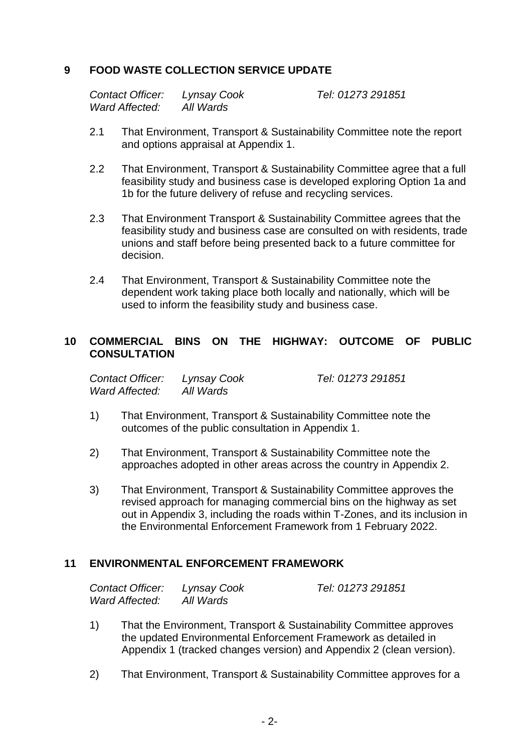### **9 FOOD WASTE COLLECTION SERVICE UPDATE**

| Contact Officer: | Lynsay Cook |
|------------------|-------------|
| Ward Affected:   | All Wards   |

*Contact Officer: Lynsay Cook Tel: 01273 291851*

- 2.1 That Environment, Transport & Sustainability Committee note the report and options appraisal at Appendix 1.
- 2.2 That Environment, Transport & Sustainability Committee agree that a full feasibility study and business case is developed exploring Option 1a and 1b for the future delivery of refuse and recycling services.
- 2.3 That Environment Transport & Sustainability Committee agrees that the feasibility study and business case are consulted on with residents, trade unions and staff before being presented back to a future committee for decision.
- 2.4 That Environment, Transport & Sustainability Committee note the dependent work taking place both locally and nationally, which will be used to inform the feasibility study and business case.

#### **10 COMMERCIAL BINS ON THE HIGHWAY: OUTCOME OF PUBLIC CONSULTATION**

| Contact Officer: Lynsay Cook |           | Tel: 01273 291851 |
|------------------------------|-----------|-------------------|
| Ward Affected:               | All Wards |                   |

- 1) That Environment, Transport & Sustainability Committee note the outcomes of the public consultation in Appendix 1.
- 2) That Environment, Transport & Sustainability Committee note the approaches adopted in other areas across the country in Appendix 2.
- 3) That Environment, Transport & Sustainability Committee approves the revised approach for managing commercial bins on the highway as set out in Appendix 3, including the roads within T-Zones, and its inclusion in the Environmental Enforcement Framework from 1 February 2022.

#### **11 ENVIRONMENTAL ENFORCEMENT FRAMEWORK**

| Contact Officer: | Lynsay Cook | Tel: 01273 291851 |
|------------------|-------------|-------------------|
| Ward Affected:   | All Wards   |                   |

- 1) That the Environment, Transport & Sustainability Committee approves the updated Environmental Enforcement Framework as detailed in Appendix 1 (tracked changes version) and Appendix 2 (clean version).
- 2) That Environment, Transport & Sustainability Committee approves for a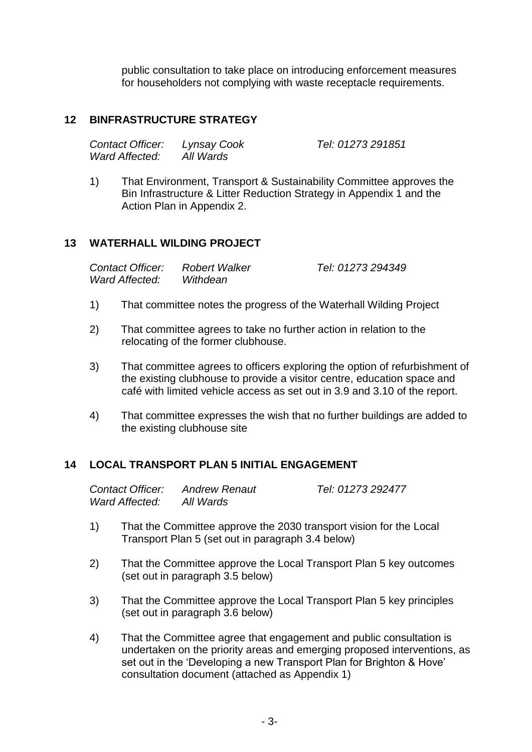public consultation to take place on introducing enforcement measures for householders not complying with waste receptacle requirements.

#### **12 BINFRASTRUCTURE STRATEGY**

| Contact Officer: | Lynsay Cook | Tel: 01273 291851 |
|------------------|-------------|-------------------|
| Ward Affected:   | All Wards   |                   |

1) That Environment, Transport & Sustainability Committee approves the Bin Infrastructure & Litter Reduction Strategy in Appendix 1 and the Action Plan in Appendix 2.

#### **13 WATERHALL WILDING PROJECT**

| Contact Officer: | <b>Robert Walker</b> | Tel: 01273 294349 |
|------------------|----------------------|-------------------|
| Ward Affected:   | Withdean             |                   |

- 1) That committee notes the progress of the Waterhall Wilding Project
- 2) That committee agrees to take no further action in relation to the relocating of the former clubhouse.
- 3) That committee agrees to officers exploring the option of refurbishment of the existing clubhouse to provide a visitor centre, education space and café with limited vehicle access as set out in 3.9 and 3.10 of the report.
- 4) That committee expresses the wish that no further buildings are added to the existing clubhouse site

#### **14 LOCAL TRANSPORT PLAN 5 INITIAL ENGAGEMENT**

| Contact Officer: | <b>Andrew Renaut</b> | Tel: 01273 292477 |
|------------------|----------------------|-------------------|
| Ward Affected:   | All Wards            |                   |

- 1) That the Committee approve the 2030 transport vision for the Local Transport Plan 5 (set out in paragraph 3.4 below)
- 2) That the Committee approve the Local Transport Plan 5 key outcomes (set out in paragraph 3.5 below)
- 3) That the Committee approve the Local Transport Plan 5 key principles (set out in paragraph 3.6 below)
- 4) That the Committee agree that engagement and public consultation is undertaken on the priority areas and emerging proposed interventions, as set out in the 'Developing a new Transport Plan for Brighton & Hove' consultation document (attached as Appendix 1)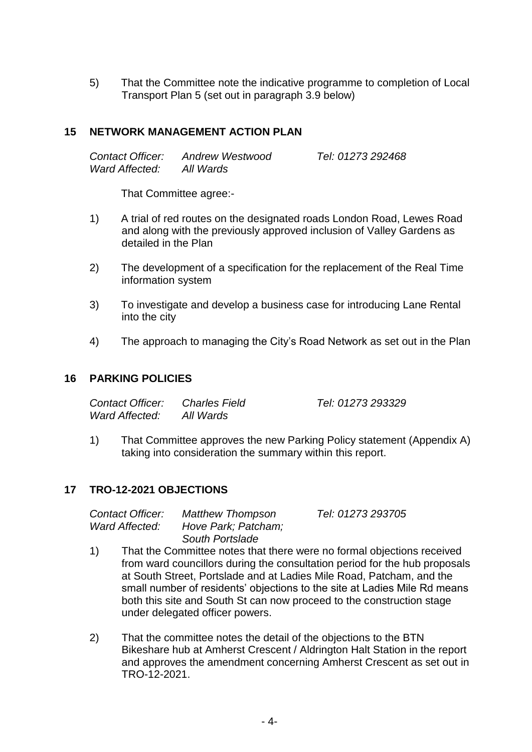5) That the Committee note the indicative programme to completion of Local Transport Plan 5 (set out in paragraph 3.9 below)

#### **15 NETWORK MANAGEMENT ACTION PLAN**

*Contact Officer: Andrew Westwood Tel: 01273 292468 Ward Affected: All Wards*

That Committee agree:-

- 1) A trial of red routes on the designated roads London Road, Lewes Road and along with the previously approved inclusion of Valley Gardens as detailed in the Plan
- 2) The development of a specification for the replacement of the Real Time information system
- 3) To investigate and develop a business case for introducing Lane Rental into the city
- 4) The approach to managing the City's Road Network as set out in the Plan

#### **16 PARKING POLICIES**

| Contact Officer: | <b>Charles Field</b> | Tel: 01273 293329 |
|------------------|----------------------|-------------------|
| Ward Affected:   | All Wards            |                   |

1) That Committee approves the new Parking Policy statement (Appendix A) taking into consideration the summary within this report.

#### **17 TRO-12-2021 OBJECTIONS**

*Contact Officer: Matthew Thompson Tel: 01273 293705 Ward Affected: Hove Park; Patcham; South Portslade*

- 1) That the Committee notes that there were no formal objections received from ward councillors during the consultation period for the hub proposals at South Street, Portslade and at Ladies Mile Road, Patcham, and the small number of residents' objections to the site at Ladies Mile Rd means both this site and South St can now proceed to the construction stage under delegated officer powers.
- 2) That the committee notes the detail of the objections to the BTN Bikeshare hub at Amherst Crescent / Aldrington Halt Station in the report and approves the amendment concerning Amherst Crescent as set out in TRO-12-2021.